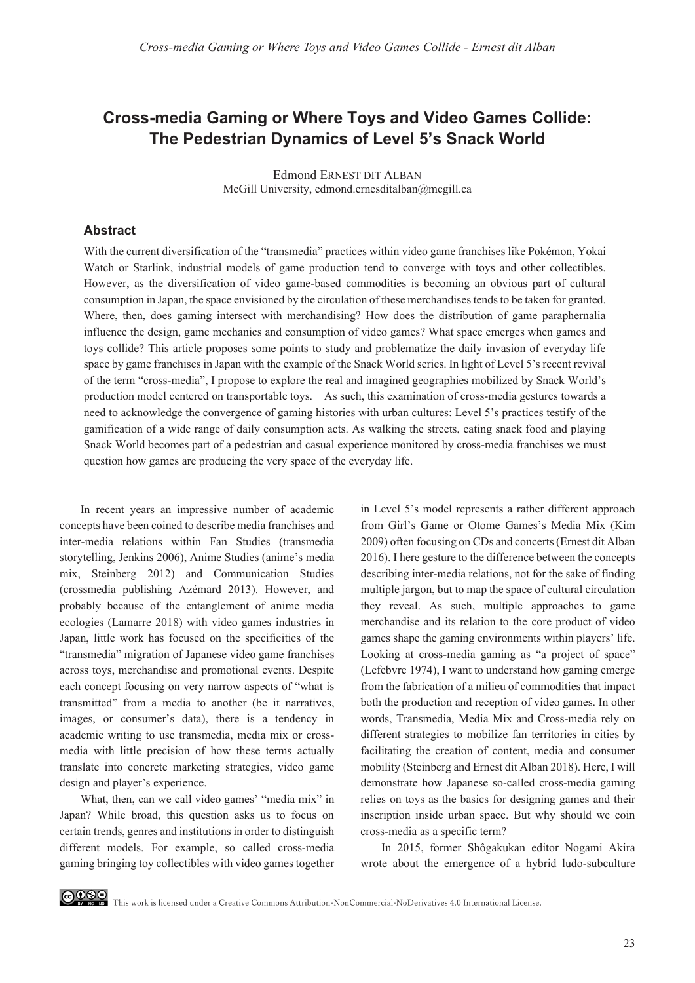# **Cross-media Gaming or Where Toys and Video Games Collide: The Pedestrian Dynamics of Level 5's Snack World**

Edmond ERNEST DIT ALBAN McGill University, edmond.ernesditalban@mcgill.ca

#### **Abstract**

With the current diversification of the "transmedia" practices within video game franchises like Pokémon, Yokai Watch or Starlink, industrial models of game production tend to converge with toys and other collectibles. However, as the diversification of video game-based commodities is becoming an obvious part of cultural consumption in Japan, the space envisioned by the circulation of these merchandises tends to be taken for granted. Where, then, does gaming intersect with merchandising? How does the distribution of game paraphernalia influence the design, game mechanics and consumption of video games? What space emerges when games and toys collide? This article proposes some points to study and problematize the daily invasion of everyday life space by game franchises in Japan with the example of the Snack World series. In light of Level 5's recent revival of the term "cross-media", I propose to explore the real and imagined geographies mobilized by Snack World's production model centered on transportable toys. As such, this examination of cross-media gestures towards a need to acknowledge the convergence of gaming histories with urban cultures: Level 5's practices testify of the gamification of a wide range of daily consumption acts. As walking the streets, eating snack food and playing Snack World becomes part of a pedestrian and casual experience monitored by cross-media franchises we must question how games are producing the very space of the everyday life.

In recent years an impressive number of academic concepts have been coined to describe media franchises and inter-media relations within Fan Studies (transmedia storytelling, Jenkins 2006), Anime Studies (anime's media mix, Steinberg 2012) and Communication Studies (crossmedia publishing Azémard 2013). However, and probably because of the entanglement of anime media ecologies (Lamarre 2018) with video games industries in Japan, little work has focused on the specificities of the "transmedia" migration of Japanese video game franchises across toys, merchandise and promotional events. Despite each concept focusing on very narrow aspects of "what is transmitted" from a media to another (be it narratives, images, or consumer's data), there is a tendency in academic writing to use transmedia, media mix or crossmedia with little precision of how these terms actually translate into concrete marketing strategies, video game design and player's experience.

What, then, can we call video games' "media mix" in Japan? While broad, this question asks us to focus on certain trends, genres and institutions in order to distinguish different models. For example, so called cross-media gaming bringing toy collectibles with video games together

in Level 5's model represents a rather different approach from Girl's Game or Otome Games's Media Mix (Kim 2009) often focusing on CDs and concerts (Ernest dit Alban 2016). I here gesture to the difference between the concepts describing inter-media relations, not for the sake of finding multiple jargon, but to map the space of cultural circulation they reveal. As such, multiple approaches to game merchandise and its relation to the core product of video games shape the gaming environments within players' life. Looking at cross-media gaming as "a project of space" (Lefebvre 1974), I want to understand how gaming emerge from the fabrication of a milieu of commodities that impact both the production and reception of video games. In other words, Transmedia, Media Mix and Cross-media rely on different strategies to mobilize fan territories in cities by facilitating the creation of content, media and consumer mobility (Steinberg and Ernest dit Alban 2018). Here, I will demonstrate how Japanese so-called cross-media gaming relies on toys as the basics for designing games and their inscription inside urban space. But why should we coin cross-media as a specific term?

In 2015, former Shôgakukan editor Nogami Akira wrote about the emergence of a hybrid ludo-subculture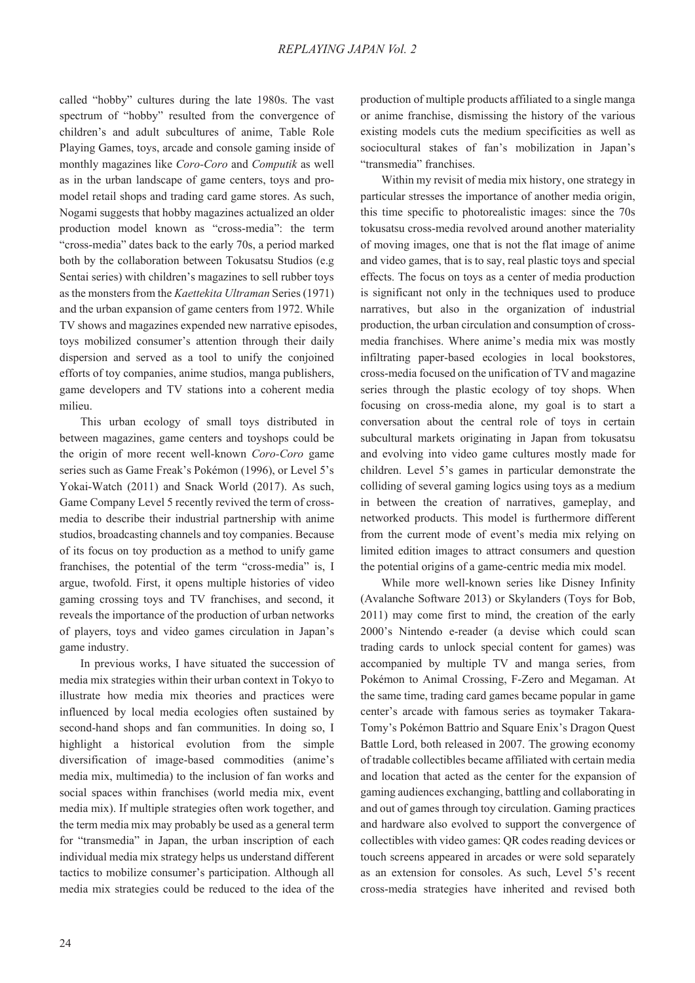called "hobby" cultures during the late 1980s. The vast spectrum of "hobby" resulted from the convergence of children's and adult subcultures of anime, Table Role Playing Games, toys, arcade and console gaming inside of monthly magazines like *Coro-Coro* and *Computik* as well as in the urban landscape of game centers, toys and promodel retail shops and trading card game stores. As such, Nogami suggests that hobby magazines actualized an older production model known as "cross-media": the term "cross-media" dates back to the early 70s, a period marked both by the collaboration between Tokusatsu Studios (e.g Sentai series) with children's magazines to sell rubber toys as the monsters from the *Kaettekita Ultraman* Series (1971) and the urban expansion of game centers from 1972. While TV shows and magazines expended new narrative episodes, toys mobilized consumer's attention through their daily dispersion and served as a tool to unify the conjoined efforts of toy companies, anime studios, manga publishers, game developers and TV stations into a coherent media milieu.

This urban ecology of small toys distributed in between magazines, game centers and toyshops could be the origin of more recent well-known *Coro-Coro* game series such as Game Freak's Pokémon (1996), or Level 5's Yokai-Watch (2011) and Snack World (2017). As such, Game Company Level 5 recently revived the term of crossmedia to describe their industrial partnership with anime studios, broadcasting channels and toy companies. Because of its focus on toy production as a method to unify game franchises, the potential of the term "cross-media" is, I argue, twofold. First, it opens multiple histories of video gaming crossing toys and TV franchises, and second, it reveals the importance of the production of urban networks of players, toys and video games circulation in Japan's game industry.

In previous works, I have situated the succession of media mix strategies within their urban context in Tokyo to illustrate how media mix theories and practices were influenced by local media ecologies often sustained by second-hand shops and fan communities. In doing so, I highlight a historical evolution from the simple diversification of image-based commodities (anime's media mix, multimedia) to the inclusion of fan works and social spaces within franchises (world media mix, event media mix). If multiple strategies often work together, and the term media mix may probably be used as a general term for "transmedia" in Japan, the urban inscription of each individual media mix strategy helps us understand different tactics to mobilize consumer's participation. Although all media mix strategies could be reduced to the idea of the production of multiple products affiliated to a single manga or anime franchise, dismissing the history of the various existing models cuts the medium specificities as well as sociocultural stakes of fan's mobilization in Japan's "transmedia" franchises.

Within my revisit of media mix history, one strategy in particular stresses the importance of another media origin, this time specific to photorealistic images: since the 70s tokusatsu cross-media revolved around another materiality of moving images, one that is not the flat image of anime and video games, that is to say, real plastic toys and special effects. The focus on toys as a center of media production is significant not only in the techniques used to produce narratives, but also in the organization of industrial production, the urban circulation and consumption of crossmedia franchises. Where anime's media mix was mostly infiltrating paper-based ecologies in local bookstores, cross-media focused on the unification of TV and magazine series through the plastic ecology of toy shops. When focusing on cross-media alone, my goal is to start a conversation about the central role of toys in certain subcultural markets originating in Japan from tokusatsu and evolving into video game cultures mostly made for children. Level 5's games in particular demonstrate the colliding of several gaming logics using toys as a medium in between the creation of narratives, gameplay, and networked products. This model is furthermore different from the current mode of event's media mix relying on limited edition images to attract consumers and question the potential origins of a game-centric media mix model.

While more well-known series like Disney Infinity (Avalanche Software 2013) or Skylanders (Toys for Bob, 2011) may come first to mind, the creation of the early 2000's Nintendo e-reader (a devise which could scan trading cards to unlock special content for games) was accompanied by multiple TV and manga series, from Pokémon to Animal Crossing, F-Zero and Megaman. At the same time, trading card games became popular in game center's arcade with famous series as toymaker Takara-Tomy's Pokémon Battrio and Square Enix's Dragon Quest Battle Lord, both released in 2007. The growing economy of tradable collectibles became affiliated with certain media and location that acted as the center for the expansion of gaming audiences exchanging, battling and collaborating in and out of games through toy circulation. Gaming practices and hardware also evolved to support the convergence of collectibles with video games: QR codes reading devices or touch screens appeared in arcades or were sold separately as an extension for consoles. As such, Level 5's recent cross-media strategies have inherited and revised both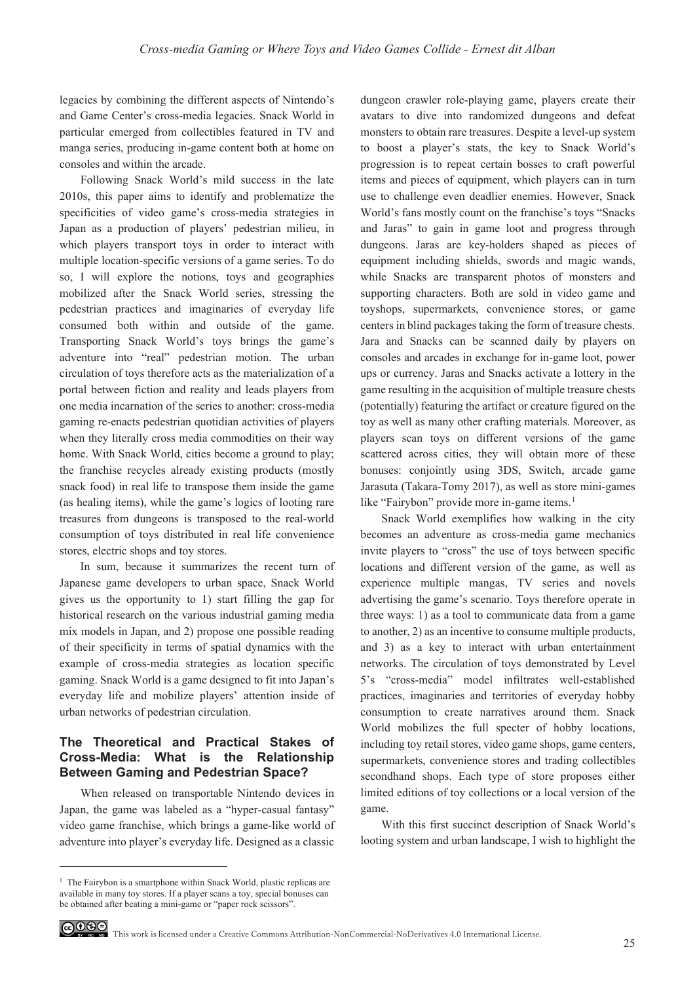legacies by combining the different aspects of Nintendo's and Game Center's cross-media legacies. Snack World in particular emerged from collectibles featured in TV and manga series, producing in-game content both at home on consoles and within the arcade.

Following Snack World's mild success in the late 2010s, this paper aims to identify and problematize the specificities of video game's cross-media strategies in Japan as a production of players' pedestrian milieu, in which players transport toys in order to interact with multiple location-specific versions of a game series. To do so, I will explore the notions, toys and geographies mobilized after the Snack World series, stressing the pedestrian practices and imaginaries of everyday life consumed both within and outside of the game. Transporting Snack World's toys brings the game's adventure into "real" pedestrian motion. The urban circulation of toys therefore acts as the materialization of a portal between fiction and reality and leads players from one media incarnation of the series to another: cross-media gaming re-enacts pedestrian quotidian activities of players when they literally cross media commodities on their way home. With Snack World, cities become a ground to play; the franchise recycles already existing products (mostly snack food) in real life to transpose them inside the game (as healing items), while the game's logics of looting rare treasures from dungeons is transposed to the real-world consumption of toys distributed in real life convenience stores, electric shops and toy stores.

In sum, because it summarizes the recent turn of Japanese game developers to urban space, Snack World gives us the opportunity to 1) start filling the gap for historical research on the various industrial gaming media mix models in Japan, and 2) propose one possible reading of their specificity in terms of spatial dynamics with the example of cross-media strategies as location specific gaming. Snack World is a game designed to fit into Japan's everyday life and mobilize players' attention inside of urban networks of pedestrian circulation.

## **The Theoretical and Practical Stakes of Cross-Media: What is the Relationship Between Gaming and Pedestrian Space?**

When released on transportable Nintendo devices in Japan, the game was labeled as a "hyper-casual fantasy" video game franchise, which brings a game-like world of adventure into player's everyday life. Designed as a classic dungeon crawler role-playing game, players create their avatars to dive into randomized dungeons and defeat monsters to obtain rare treasures. Despite a level-up system to boost a player's stats, the key to Snack World's progression is to repeat certain bosses to craft powerful items and pieces of equipment, which players can in turn use to challenge even deadlier enemies. However, Snack World's fans mostly count on the franchise's toys "Snacks and Jaras" to gain in game loot and progress through dungeons. Jaras are key-holders shaped as pieces of equipment including shields, swords and magic wands, while Snacks are transparent photos of monsters and supporting characters. Both are sold in video game and toyshops, supermarkets, convenience stores, or game centers in blind packages taking the form of treasure chests. Jara and Snacks can be scanned daily by players on consoles and arcades in exchange for in-game loot, power ups or currency. Jaras and Snacks activate a lottery in the game resulting in the acquisition of multiple treasure chests (potentially) featuring the artifact or creature figured on the toy as well as many other crafting materials. Moreover, as players scan toys on different versions of the game scattered across cities, they will obtain more of these bonuses: conjointly using 3DS, Switch, arcade game Jarasuta (Takara-Tomy 2017), as well as store mini-games like "Fairybon" provide more in-game items.<sup>1</sup>

Snack World exemplifies how walking in the city becomes an adventure as cross-media game mechanics invite players to "cross" the use of toys between specific locations and different version of the game, as well as experience multiple mangas, TV series and novels advertising the game's scenario. Toys therefore operate in three ways: 1) as a tool to communicate data from a game to another, 2) as an incentive to consume multiple products, and 3) as a key to interact with urban entertainment networks. The circulation of toys demonstrated by Level 5's "cross-media" model infiltrates well-established practices, imaginaries and territories of everyday hobby consumption to create narratives around them. Snack World mobilizes the full specter of hobby locations, including toy retail stores, video game shops, game centers, supermarkets, convenience stores and trading collectibles secondhand shops. Each type of store proposes either limited editions of toy collections or a local version of the game.

With this first succinct description of Snack World's looting system and urban landscape, I wish to highlight the

<sup>&</sup>lt;sup>1</sup> The Fairybon is a smartphone within Snack World, plastic replicas are available in many toy stores. If a player scans a toy, special bonuses can be obtained after beating a mini-game or "paper rock scissors".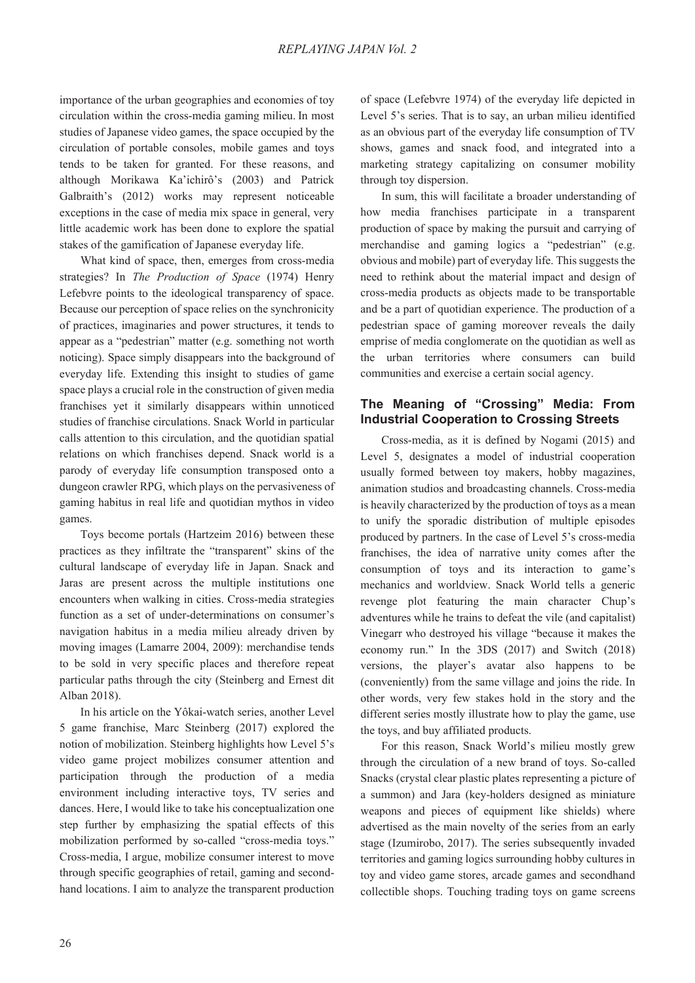importance of the urban geographies and economies of toy circulation within the cross-media gaming milieu. In most studies of Japanese video games, the space occupied by the circulation of portable consoles, mobile games and toys tends to be taken for granted. For these reasons, and although Morikawa Ka'ichirô's (2003) and Patrick Galbraith's (2012) works may represent noticeable exceptions in the case of media mix space in general, very little academic work has been done to explore the spatial stakes of the gamification of Japanese everyday life.

What kind of space, then, emerges from cross-media strategies? In *The Production of Space* (1974) Henry Lefebvre points to the ideological transparency of space. Because our perception of space relies on the synchronicity of practices, imaginaries and power structures, it tends to appear as a "pedestrian" matter (e.g. something not worth noticing). Space simply disappears into the background of everyday life. Extending this insight to studies of game space plays a crucial role in the construction of given media franchises yet it similarly disappears within unnoticed studies of franchise circulations. Snack World in particular calls attention to this circulation, and the quotidian spatial relations on which franchises depend. Snack world is a parody of everyday life consumption transposed onto a dungeon crawler RPG, which plays on the pervasiveness of gaming habitus in real life and quotidian mythos in video games.

Toys become portals (Hartzeim 2016) between these practices as they infiltrate the "transparent" skins of the cultural landscape of everyday life in Japan. Snack and Jaras are present across the multiple institutions one encounters when walking in cities. Cross-media strategies function as a set of under-determinations on consumer's navigation habitus in a media milieu already driven by moving images (Lamarre 2004, 2009): merchandise tends to be sold in very specific places and therefore repeat particular paths through the city (Steinberg and Ernest dit Alban 2018).

In his article on the Yôkai-watch series, another Level 5 game franchise, Marc Steinberg (2017) explored the notion of mobilization. Steinberg highlights how Level 5's video game project mobilizes consumer attention and participation through the production of a media environment including interactive toys, TV series and dances. Here, I would like to take his conceptualization one step further by emphasizing the spatial effects of this mobilization performed by so-called "cross-media toys." Cross-media, I argue, mobilize consumer interest to move through specific geographies of retail, gaming and secondhand locations. I aim to analyze the transparent production of space (Lefebvre 1974) of the everyday life depicted in Level 5's series. That is to say, an urban milieu identified as an obvious part of the everyday life consumption of TV shows, games and snack food, and integrated into a marketing strategy capitalizing on consumer mobility through toy dispersion.

In sum, this will facilitate a broader understanding of how media franchises participate in a transparent production of space by making the pursuit and carrying of merchandise and gaming logics a "pedestrian" (e.g. obvious and mobile) part of everyday life. This suggests the need to rethink about the material impact and design of cross-media products as objects made to be transportable and be a part of quotidian experience. The production of a pedestrian space of gaming moreover reveals the daily emprise of media conglomerate on the quotidian as well as the urban territories where consumers can build communities and exercise a certain social agency.

## **The Meaning of "Crossing" Media: From Industrial Cooperation to Crossing Streets**

Cross-media, as it is defined by Nogami (2015) and Level 5, designates a model of industrial cooperation usually formed between toy makers, hobby magazines, animation studios and broadcasting channels. Cross-media is heavily characterized by the production of toys as a mean to unify the sporadic distribution of multiple episodes produced by partners. In the case of Level 5's cross-media franchises, the idea of narrative unity comes after the consumption of toys and its interaction to game's mechanics and worldview. Snack World tells a generic revenge plot featuring the main character Chup's adventures while he trains to defeat the vile (and capitalist) Vinegarr who destroyed his village "because it makes the economy run." In the 3DS (2017) and Switch (2018) versions, the player's avatar also happens to be (conveniently) from the same village and joins the ride. In other words, very few stakes hold in the story and the different series mostly illustrate how to play the game, use the toys, and buy affiliated products.

For this reason, Snack World's milieu mostly grew through the circulation of a new brand of toys. So-called Snacks (crystal clear plastic plates representing a picture of a summon) and Jara (key-holders designed as miniature weapons and pieces of equipment like shields) where advertised as the main novelty of the series from an early stage (Izumirobo, 2017). The series subsequently invaded territories and gaming logics surrounding hobby cultures in toy and video game stores, arcade games and secondhand collectible shops. Touching trading toys on game screens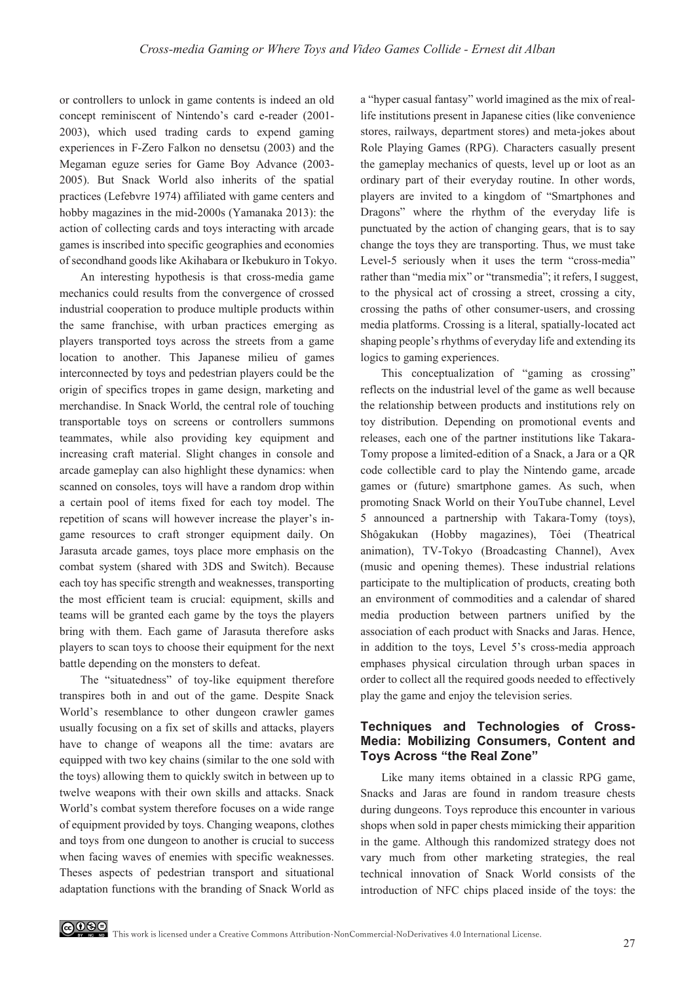or controllers to unlock in game contents is indeed an old concept reminiscent of Nintendo's card e-reader (2001- 2003), which used trading cards to expend gaming experiences in F-Zero Falkon no densetsu (2003) and the Megaman eguze series for Game Boy Advance (2003- 2005). But Snack World also inherits of the spatial practices (Lefebvre 1974) affiliated with game centers and hobby magazines in the mid-2000s (Yamanaka 2013): the action of collecting cards and toys interacting with arcade games is inscribed into specific geographies and economies of secondhand goods like Akihabara or Ikebukuro in Tokyo.

An interesting hypothesis is that cross-media game mechanics could results from the convergence of crossed industrial cooperation to produce multiple products within the same franchise, with urban practices emerging as players transported toys across the streets from a game location to another. This Japanese milieu of games interconnected by toys and pedestrian players could be the origin of specifics tropes in game design, marketing and merchandise. In Snack World, the central role of touching transportable toys on screens or controllers summons teammates, while also providing key equipment and increasing craft material. Slight changes in console and arcade gameplay can also highlight these dynamics: when scanned on consoles, toys will have a random drop within a certain pool of items fixed for each toy model. The repetition of scans will however increase the player's ingame resources to craft stronger equipment daily. On Jarasuta arcade games, toys place more emphasis on the combat system (shared with 3DS and Switch). Because each toy has specific strength and weaknesses, transporting the most efficient team is crucial: equipment, skills and teams will be granted each game by the toys the players bring with them. Each game of Jarasuta therefore asks players to scan toys to choose their equipment for the next battle depending on the monsters to defeat.

The "situatedness" of toy-like equipment therefore transpires both in and out of the game. Despite Snack World's resemblance to other dungeon crawler games usually focusing on a fix set of skills and attacks, players have to change of weapons all the time: avatars are equipped with two key chains (similar to the one sold with the toys) allowing them to quickly switch in between up to twelve weapons with their own skills and attacks. Snack World's combat system therefore focuses on a wide range of equipment provided by toys. Changing weapons, clothes and toys from one dungeon to another is crucial to success when facing waves of enemies with specific weaknesses. Theses aspects of pedestrian transport and situational adaptation functions with the branding of Snack World as a "hyper casual fantasy" world imagined as the mix of reallife institutions present in Japanese cities (like convenience stores, railways, department stores) and meta-jokes about Role Playing Games (RPG). Characters casually present the gameplay mechanics of quests, level up or loot as an ordinary part of their everyday routine. In other words, players are invited to a kingdom of "Smartphones and Dragons" where the rhythm of the everyday life is punctuated by the action of changing gears, that is to say change the toys they are transporting. Thus, we must take Level-5 seriously when it uses the term "cross-media" rather than "media mix" or "transmedia"; it refers, I suggest, to the physical act of crossing a street, crossing a city, crossing the paths of other consumer-users, and crossing media platforms. Crossing is a literal, spatially-located act shaping people's rhythms of everyday life and extending its logics to gaming experiences.

This conceptualization of "gaming as crossing" reflects on the industrial level of the game as well because the relationship between products and institutions rely on toy distribution. Depending on promotional events and releases, each one of the partner institutions like Takara-Tomy propose a limited-edition of a Snack, a Jara or a QR code collectible card to play the Nintendo game, arcade games or (future) smartphone games. As such, when promoting Snack World on their YouTube channel, Level 5 announced a partnership with Takara-Tomy (toys), Shôgakukan (Hobby magazines), Tôei (Theatrical animation), TV-Tokyo (Broadcasting Channel), Avex (music and opening themes). These industrial relations participate to the multiplication of products, creating both an environment of commodities and a calendar of shared media production between partners unified by the association of each product with Snacks and Jaras. Hence, in addition to the toys, Level 5's cross-media approach emphases physical circulation through urban spaces in order to collect all the required goods needed to effectively play the game and enjoy the television series.

#### **Techniques and Technologies of Cross-Media: Mobilizing Consumers, Content and Toys Across "the Real Zone"**

Like many items obtained in a classic RPG game, Snacks and Jaras are found in random treasure chests during dungeons. Toys reproduce this encounter in various shops when sold in paper chests mimicking their apparition in the game. Although this randomized strategy does not vary much from other marketing strategies, the real technical innovation of Snack World consists of the introduction of NFC chips placed inside of the toys: the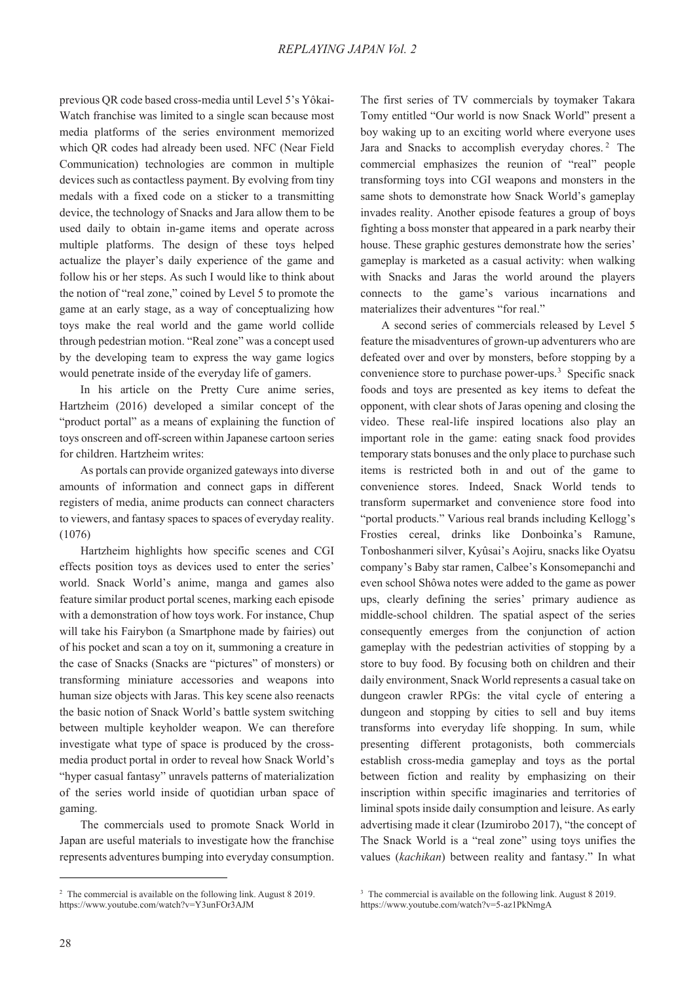previous QR code based cross-media until Level 5's Yôkai-Watch franchise was limited to a single scan because most media platforms of the series environment memorized which QR codes had already been used. NFC (Near Field Communication) technologies are common in multiple devices such as contactless payment. By evolving from tiny medals with a fixed code on a sticker to a transmitting device, the technology of Snacks and Jara allow them to be used daily to obtain in-game items and operate across multiple platforms. The design of these toys helped actualize the player's daily experience of the game and follow his or her steps. As such I would like to think about the notion of "real zone," coined by Level 5 to promote the game at an early stage, as a way of conceptualizing how toys make the real world and the game world collide through pedestrian motion. "Real zone" was a concept used by the developing team to express the way game logics would penetrate inside of the everyday life of gamers.

In his article on the Pretty Cure anime series, Hartzheim (2016) developed a similar concept of the "product portal" as a means of explaining the function of toys onscreen and off-screen within Japanese cartoon series for children. Hartzheim writes:

As portals can provide organized gateways into diverse amounts of information and connect gaps in different registers of media, anime products can connect characters to viewers, and fantasy spaces to spaces of everyday reality. (1076)

Hartzheim highlights how specific scenes and CGI effects position toys as devices used to enter the series' world. Snack World's anime, manga and games also feature similar product portal scenes, marking each episode with a demonstration of how toys work. For instance, Chup will take his Fairybon (a Smartphone made by fairies) out of his pocket and scan a toy on it, summoning a creature in the case of Snacks (Snacks are "pictures" of monsters) or transforming miniature accessories and weapons into human size objects with Jaras. This key scene also reenacts the basic notion of Snack World's battle system switching between multiple keyholder weapon. We can therefore investigate what type of space is produced by the crossmedia product portal in order to reveal how Snack World's "hyper casual fantasy" unravels patterns of materialization of the series world inside of quotidian urban space of gaming.

The commercials used to promote Snack World in Japan are useful materials to investigate how the franchise represents adventures bumping into everyday consumption. The first series of TV commercials by toymaker Takara Tomy entitled "Our world is now Snack World" present a boy waking up to an exciting world where everyone uses Jara and Snacks to accomplish everyday chores. 2 The commercial emphasizes the reunion of "real" people transforming toys into CGI weapons and monsters in the same shots to demonstrate how Snack World's gameplay invades reality. Another episode features a group of boys fighting a boss monster that appeared in a park nearby their house. These graphic gestures demonstrate how the series' gameplay is marketed as a casual activity: when walking with Snacks and Jaras the world around the players connects to the game's various incarnations and materializes their adventures "for real."

A second series of commercials released by Level 5 feature the misadventures of grown-up adventurers who are defeated over and over by monsters, before stopping by a convenience store to purchase power-ups.<sup>3</sup> Specific snack foods and toys are presented as key items to defeat the opponent, with clear shots of Jaras opening and closing the video. These real-life inspired locations also play an important role in the game: eating snack food provides temporary stats bonuses and the only place to purchase such items is restricted both in and out of the game to convenience stores. Indeed, Snack World tends to transform supermarket and convenience store food into "portal products." Various real brands including Kellogg's Frosties cereal, drinks like Donboinka's Ramune, Tonboshanmeri silver, Kyûsai's Aojiru, snacks like Oyatsu company's Baby star ramen, Calbee's Konsomepanchi and even school Shôwa notes were added to the game as power ups, clearly defining the series' primary audience as middle-school children. The spatial aspect of the series consequently emerges from the conjunction of action gameplay with the pedestrian activities of stopping by a store to buy food. By focusing both on children and their daily environment, Snack World represents a casual take on dungeon crawler RPGs: the vital cycle of entering a dungeon and stopping by cities to sell and buy items transforms into everyday life shopping. In sum, while presenting different protagonists, both commercials establish cross-media gameplay and toys as the portal between fiction and reality by emphasizing on their inscription within specific imaginaries and territories of liminal spots inside daily consumption and leisure. As early advertising made it clear (Izumirobo 2017), "the concept of The Snack World is a "real zone" using toys unifies the values (*kachikan*) between reality and fantasy." In what

<sup>&</sup>lt;sup>2</sup> The commercial is available on the following link. August 8 2019. https://www.youtube.com/watch?v=Y3unFOr3AJM

<sup>&</sup>lt;sup>3</sup> The commercial is available on the following link. August 8 2019. https://www.youtube.com/watch?v=5-az1PkNmgA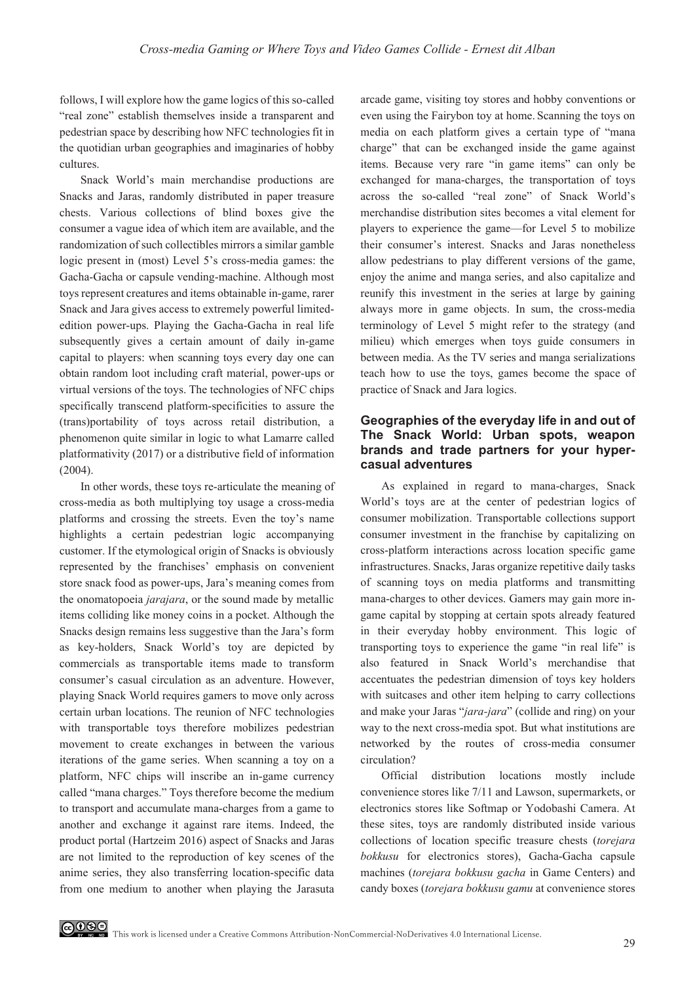follows, I will explore how the game logics of this so-called "real zone" establish themselves inside a transparent and pedestrian space by describing how NFC technologies fit in the quotidian urban geographies and imaginaries of hobby cultures.

Snack World's main merchandise productions are Snacks and Jaras, randomly distributed in paper treasure chests. Various collections of blind boxes give the consumer a vague idea of which item are available, and the randomization of such collectibles mirrors a similar gamble logic present in (most) Level 5's cross-media games: the Gacha-Gacha or capsule vending-machine. Although most toys represent creatures and items obtainable in-game, rarer Snack and Jara gives access to extremely powerful limitededition power-ups. Playing the Gacha-Gacha in real life subsequently gives a certain amount of daily in-game capital to players: when scanning toys every day one can obtain random loot including craft material, power-ups or virtual versions of the toys. The technologies of NFC chips specifically transcend platform-specificities to assure the (trans)portability of toys across retail distribution, a phenomenon quite similar in logic to what Lamarre called platformativity (2017) or a distributive field of information (2004).

In other words, these toys re-articulate the meaning of cross-media as both multiplying toy usage a cross-media platforms and crossing the streets. Even the toy's name highlights a certain pedestrian logic accompanying customer. If the etymological origin of Snacks is obviously represented by the franchises' emphasis on convenient store snack food as power-ups, Jara's meaning comes from the onomatopoeia *jarajara*, or the sound made by metallic items colliding like money coins in a pocket. Although the Snacks design remains less suggestive than the Jara's form as key-holders, Snack World's toy are depicted by commercials as transportable items made to transform consumer's casual circulation as an adventure. However, playing Snack World requires gamers to move only across certain urban locations. The reunion of NFC technologies with transportable toys therefore mobilizes pedestrian movement to create exchanges in between the various iterations of the game series. When scanning a toy on a platform, NFC chips will inscribe an in-game currency called "mana charges." Toys therefore become the medium to transport and accumulate mana-charges from a game to another and exchange it against rare items. Indeed, the product portal (Hartzeim 2016) aspect of Snacks and Jaras are not limited to the reproduction of key scenes of the anime series, they also transferring location-specific data from one medium to another when playing the Jarasuta arcade game, visiting toy stores and hobby conventions or even using the Fairybon toy at home. Scanning the toys on media on each platform gives a certain type of "mana charge" that can be exchanged inside the game against items. Because very rare "in game items" can only be exchanged for mana-charges, the transportation of toys across the so-called "real zone" of Snack World's merchandise distribution sites becomes a vital element for players to experience the game—for Level 5 to mobilize their consumer's interest. Snacks and Jaras nonetheless allow pedestrians to play different versions of the game, enjoy the anime and manga series, and also capitalize and reunify this investment in the series at large by gaining always more in game objects. In sum, the cross-media terminology of Level 5 might refer to the strategy (and milieu) which emerges when toys guide consumers in between media. As the TV series and manga serializations teach how to use the toys, games become the space of practice of Snack and Jara logics.

#### **Geographies of the everyday life in and out of The Snack World: Urban spots, weapon brands and trade partners for your hypercasual adventures**

As explained in regard to mana-charges, Snack World's toys are at the center of pedestrian logics of consumer mobilization. Transportable collections support consumer investment in the franchise by capitalizing on cross-platform interactions across location specific game infrastructures. Snacks, Jaras organize repetitive daily tasks of scanning toys on media platforms and transmitting mana-charges to other devices. Gamers may gain more ingame capital by stopping at certain spots already featured in their everyday hobby environment. This logic of transporting toys to experience the game "in real life" is also featured in Snack World's merchandise that accentuates the pedestrian dimension of toys key holders with suitcases and other item helping to carry collections and make your Jaras "*jara-jara*" (collide and ring) on your way to the next cross-media spot. But what institutions are networked by the routes of cross-media consumer circulation?

Official distribution locations mostly include convenience stores like 7/11 and Lawson, supermarkets, or electronics stores like Softmap or Yodobashi Camera. At these sites, toys are randomly distributed inside various collections of location specific treasure chests (*torejara bokkusu* for electronics stores), Gacha-Gacha capsule machines (*torejara bokkusu gacha* in Game Centers) and candy boxes (*torejara bokkusu gamu* at convenience stores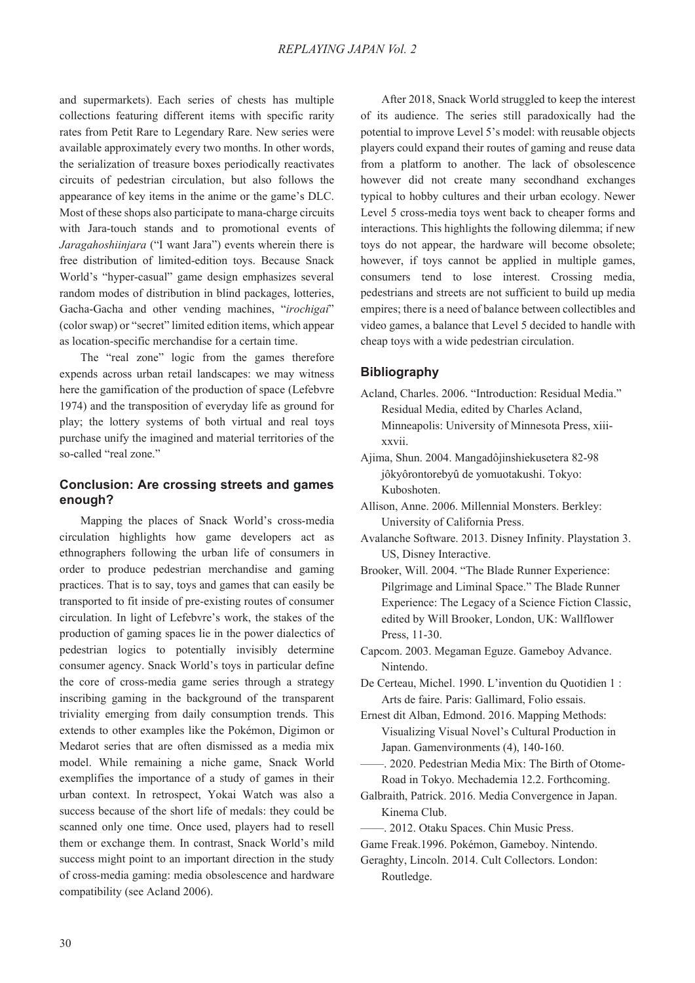and supermarkets). Each series of chests has multiple collections featuring different items with specific rarity rates from Petit Rare to Legendary Rare. New series were available approximately every two months. In other words, the serialization of treasure boxes periodically reactivates circuits of pedestrian circulation, but also follows the appearance of key items in the anime or the game's DLC. Most of these shops also participate to mana-charge circuits with Jara-touch stands and to promotional events of *Jaragahoshiinjara* ("I want Jara") events wherein there is free distribution of limited-edition toys. Because Snack World's "hyper-casual" game design emphasizes several random modes of distribution in blind packages, lotteries, Gacha-Gacha and other vending machines, "*irochigai*" (color swap) or "secret" limited edition items, which appear as location-specific merchandise for a certain time.

The "real zone" logic from the games therefore expends across urban retail landscapes: we may witness here the gamification of the production of space (Lefebvre 1974) and the transposition of everyday life as ground for play; the lottery systems of both virtual and real toys purchase unify the imagined and material territories of the so-called "real zone."

#### **Conclusion: Are crossing streets and games enough?**

Mapping the places of Snack World's cross-media circulation highlights how game developers act as ethnographers following the urban life of consumers in order to produce pedestrian merchandise and gaming practices. That is to say, toys and games that can easily be transported to fit inside of pre-existing routes of consumer circulation. In light of Lefebvre's work, the stakes of the production of gaming spaces lie in the power dialectics of pedestrian logics to potentially invisibly determine consumer agency. Snack World's toys in particular define the core of cross-media game series through a strategy inscribing gaming in the background of the transparent triviality emerging from daily consumption trends. This extends to other examples like the Pokémon, Digimon or Medarot series that are often dismissed as a media mix model. While remaining a niche game, Snack World exemplifies the importance of a study of games in their urban context. In retrospect, Yokai Watch was also a success because of the short life of medals: they could be scanned only one time. Once used, players had to resell them or exchange them. In contrast, Snack World's mild success might point to an important direction in the study of cross-media gaming: media obsolescence and hardware compatibility (see Acland 2006).

After 2018, Snack World struggled to keep the interest of its audience. The series still paradoxically had the potential to improve Level 5's model: with reusable objects players could expand their routes of gaming and reuse data from a platform to another. The lack of obsolescence however did not create many secondhand exchanges typical to hobby cultures and their urban ecology. Newer Level 5 cross-media toys went back to cheaper forms and interactions. This highlights the following dilemma; if new toys do not appear, the hardware will become obsolete; however, if toys cannot be applied in multiple games, consumers tend to lose interest. Crossing media, pedestrians and streets are not sufficient to build up media empires; there is a need of balance between collectibles and video games, a balance that Level 5 decided to handle with cheap toys with a wide pedestrian circulation.

#### **Bibliography**

- Acland, Charles. 2006. "Introduction: Residual Media." Residual Media, edited by Charles Acland, Minneapolis: University of Minnesota Press, xiiixxvii.
- Ajima, Shun. 2004. Mangadôjinshiekusetera 82-98 jôkyôrontorebyû de yomuotakushi. Tokyo: Kuboshoten.
- Allison, Anne. 2006. Millennial Monsters. Berkley: University of California Press.
- Avalanche Software. 2013. Disney Infinity. Playstation 3. US, Disney Interactive.
- Brooker, Will. 2004. "The Blade Runner Experience: Pilgrimage and Liminal Space." The Blade Runner Experience: The Legacy of a Science Fiction Classic, edited by Will Brooker, London, UK: Wallflower Press, 11-30.
- Capcom. 2003. Megaman Eguze. Gameboy Advance. Nintendo.
- De Certeau, Michel. 1990. L'invention du Quotidien 1 : Arts de faire. Paris: Gallimard, Folio essais.
- Ernest dit Alban, Edmond. 2016. Mapping Methods: Visualizing Visual Novel's Cultural Production in Japan. Gamenvironments (4), 140-160.
- ——. 2020. Pedestrian Media Mix: The Birth of Otome-Road in Tokyo. Mechademia 12.2. Forthcoming.
- Galbraith, Patrick. 2016. Media Convergence in Japan. Kinema Club.
- ——. 2012. Otaku Spaces. Chin Music Press.
- Game Freak.1996. Pokémon, Gameboy. Nintendo.
- Geraghty, Lincoln. 2014. Cult Collectors. London: Routledge.